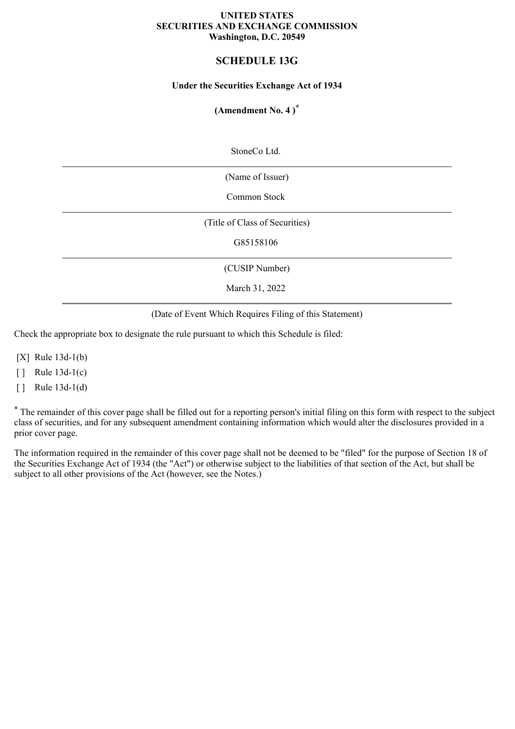#### **UNITED STATES SECURITIES AND EXCHANGE COMMISSION Washington, D.C. 20549**

## **SCHEDULE 13G**

#### **Under the Securities Exchange Act of 1934**

## **(Amendment No. 4 )\***

StoneCo Ltd.

(Name of Issuer)

Common Stock

(Title of Class of Securities)

G85158106

(CUSIP Number)

March 31, 2022

(Date of Event Which Requires Filing of this Statement)

Check the appropriate box to designate the rule pursuant to which this Schedule is filed:

[X] Rule 13d-1(b)

 $\lceil \cdot \rceil$  Rule 13d-1(c)

 $\lceil \cdot \rceil$  Rule 13d-1(d)

\* The remainder of this cover page shall be filled out for a reporting person's initial filing on this form with respect to the subject class of securities, and for any subsequent amendment containing information which would alter the disclosures provided in a prior cover page.

The information required in the remainder of this cover page shall not be deemed to be "filed" for the purpose of Section 18 of the Securities Exchange Act of 1934 (the "Act") or otherwise subject to the liabilities of that section of the Act, but shall be subject to all other provisions of the Act (however, see the Notes.)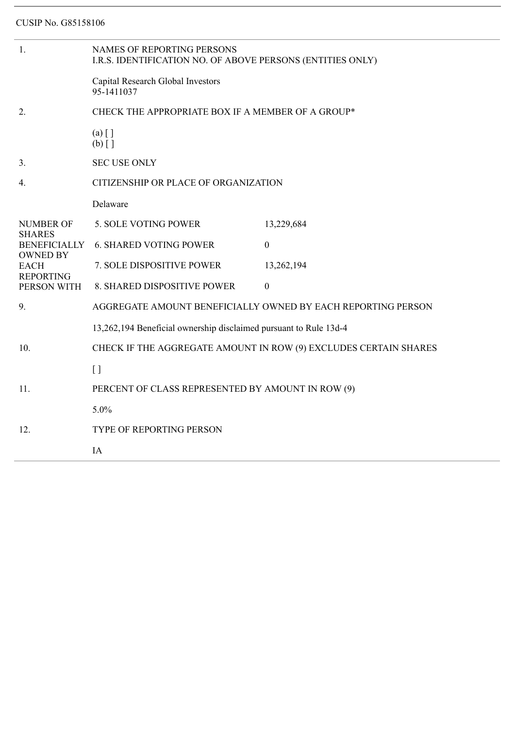| 1.                                   | NAMES OF REPORTING PERSONS<br>I.R.S. IDENTIFICATION NO. OF ABOVE PERSONS (ENTITIES ONLY) |                  |  |  |
|--------------------------------------|------------------------------------------------------------------------------------------|------------------|--|--|
|                                      | Capital Research Global Investors<br>95-1411037                                          |                  |  |  |
| 2.                                   | CHECK THE APPROPRIATE BOX IF A MEMBER OF A GROUP*                                        |                  |  |  |
|                                      | $(a)$ []<br>$(b)$ []                                                                     |                  |  |  |
| 3 <sub>1</sub>                       | <b>SEC USE ONLY</b>                                                                      |                  |  |  |
| 4.                                   | CITIZENSHIP OR PLACE OF ORGANIZATION                                                     |                  |  |  |
|                                      | Delaware                                                                                 |                  |  |  |
| <b>NUMBER OF</b>                     | 5. SOLE VOTING POWER                                                                     | 13,229,684       |  |  |
| <b>SHARES</b><br><b>BENEFICIALLY</b> | <b>6. SHARED VOTING POWER</b>                                                            | $\boldsymbol{0}$ |  |  |
| <b>OWNED BY</b><br><b>EACH</b>       | 7. SOLE DISPOSITIVE POWER                                                                | 13,262,194       |  |  |
| <b>REPORTING</b><br>PERSON WITH      | 8. SHARED DISPOSITIVE POWER                                                              | $\boldsymbol{0}$ |  |  |
| 9.                                   | AGGREGATE AMOUNT BENEFICIALLY OWNED BY EACH REPORTING PERSON                             |                  |  |  |
|                                      | 13,262,194 Beneficial ownership disclaimed pursuant to Rule 13d-4                        |                  |  |  |
| 10.                                  | CHECK IF THE AGGREGATE AMOUNT IN ROW (9) EXCLUDES CERTAIN SHARES                         |                  |  |  |
|                                      | $\lceil$                                                                                 |                  |  |  |
| 11.                                  | PERCENT OF CLASS REPRESENTED BY AMOUNT IN ROW (9)                                        |                  |  |  |
|                                      | 5.0%                                                                                     |                  |  |  |
| 12.                                  | <b>TYPE OF REPORTING PERSON</b>                                                          |                  |  |  |
|                                      | IA                                                                                       |                  |  |  |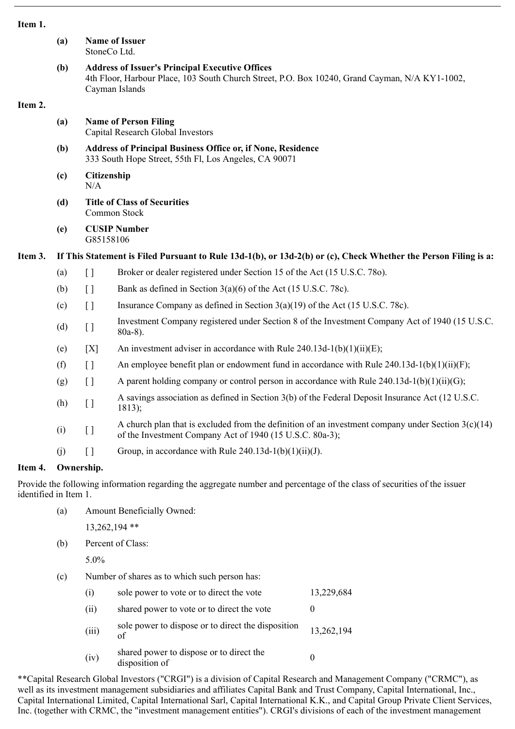| ۰.<br>٠ |  |
|---------|--|
|---------|--|

|         | (a)                                                                                                             | <b>Name of Issuer</b><br>StoneCo Ltd.                                                                                                                                      |                                                                                                                                                                  |  |  |  |  |
|---------|-----------------------------------------------------------------------------------------------------------------|----------------------------------------------------------------------------------------------------------------------------------------------------------------------------|------------------------------------------------------------------------------------------------------------------------------------------------------------------|--|--|--|--|
|         | (b)                                                                                                             | <b>Address of Issuer's Principal Executive Offices</b><br>4th Floor, Harbour Place, 103 South Church Street, P.O. Box 10240, Grand Cayman, N/A KY1-1002,<br>Cayman Islands |                                                                                                                                                                  |  |  |  |  |
| Item 2. |                                                                                                                 |                                                                                                                                                                            |                                                                                                                                                                  |  |  |  |  |
|         | (a)                                                                                                             |                                                                                                                                                                            | <b>Name of Person Filing</b><br>Capital Research Global Investors                                                                                                |  |  |  |  |
|         | (b)                                                                                                             |                                                                                                                                                                            | <b>Address of Principal Business Office or, if None, Residence</b><br>333 South Hope Street, 55th Fl, Los Angeles, CA 90071                                      |  |  |  |  |
|         | (c)                                                                                                             | N/A                                                                                                                                                                        | Citizenship                                                                                                                                                      |  |  |  |  |
|         | (d)                                                                                                             | <b>Title of Class of Securities</b><br>Common Stock                                                                                                                        |                                                                                                                                                                  |  |  |  |  |
|         | (e)                                                                                                             |                                                                                                                                                                            | <b>CUSIP Number</b><br>G85158106                                                                                                                                 |  |  |  |  |
| Item 3. | If This Statement is Filed Pursuant to Rule 13d-1(b), or 13d-2(b) or (c), Check Whether the Person Filing is a: |                                                                                                                                                                            |                                                                                                                                                                  |  |  |  |  |
|         | (a)                                                                                                             | $\Box$                                                                                                                                                                     | Broker or dealer registered under Section 15 of the Act (15 U.S.C. 780).                                                                                         |  |  |  |  |
|         | (b)                                                                                                             | $[ \ ]$                                                                                                                                                                    | Bank as defined in Section $3(a)(6)$ of the Act (15 U.S.C. 78c).                                                                                                 |  |  |  |  |
|         | (c)                                                                                                             | $\begin{array}{c} \end{array}$                                                                                                                                             | Insurance Company as defined in Section $3(a)(19)$ of the Act (15 U.S.C. 78c).                                                                                   |  |  |  |  |
|         | (d)                                                                                                             | $[ \ ]$                                                                                                                                                                    | Investment Company registered under Section 8 of the Investment Company Act of 1940 (15 U.S.C.<br>$80a-8$ ).                                                     |  |  |  |  |
|         | (e)                                                                                                             | [X]                                                                                                                                                                        | An investment adviser in accordance with Rule $240.13d-1(b)(1)(ii)(E)$ ;                                                                                         |  |  |  |  |
|         | (f)                                                                                                             | $[ \ ]$                                                                                                                                                                    | An employee benefit plan or endowment fund in accordance with Rule $240.13d-1(b)(1)(ii)(F)$ ;                                                                    |  |  |  |  |
|         | (g)                                                                                                             | $[ \ ]$                                                                                                                                                                    | A parent holding company or control person in accordance with Rule $240.13d-1(b)(1)(ii)(G)$ ;                                                                    |  |  |  |  |
|         | (h)                                                                                                             | $\left[\right]$                                                                                                                                                            | A savings association as defined in Section 3(b) of the Federal Deposit Insurance Act (12 U.S.C.<br>1813);                                                       |  |  |  |  |
|         | (i)                                                                                                             | $[ \ ]$                                                                                                                                                                    | A church plan that is excluded from the definition of an investment company under Section $3(c)(14)$<br>of the Investment Company Act of 1940 (15 U.S.C. 80a-3); |  |  |  |  |
|         | (i)                                                                                                             | $\lceil$                                                                                                                                                                   | Group, in accordance with Rule $240.13d-1(b)(1)(ii)(J)$ .                                                                                                        |  |  |  |  |
| Item 4. |                                                                                                                 | Ownership.                                                                                                                                                                 |                                                                                                                                                                  |  |  |  |  |

Provide the following information regarding the aggregate number and percentage of the class of securities of the issuer identified in Item 1.

- (a) Amount Beneficially Owned:
	- 13,262,194 \*\*
- (b) Percent of Class:

5.0%

(c) Number of shares as to which such person has:

| (i)   | sole power to vote or to direct the vote                   | 13,229,684 |
|-------|------------------------------------------------------------|------------|
| (11)  | shared power to vote or to direct the vote                 |            |
| (iii) | sole power to dispose or to direct the disposition<br>of   | 13,262,194 |
| (iv)  | shared power to dispose or to direct the<br>disposition of |            |

\*\*Capital Research Global Investors ("CRGI") is a division of Capital Research and Management Company ("CRMC"), as well as its investment management subsidiaries and affiliates Capital Bank and Trust Company, Capital International, Inc., Capital International Limited, Capital International Sarl, Capital International K.K., and Capital Group Private Client Services, Inc. (together with CRMC, the "investment management entities"). CRGI's divisions of each of the investment management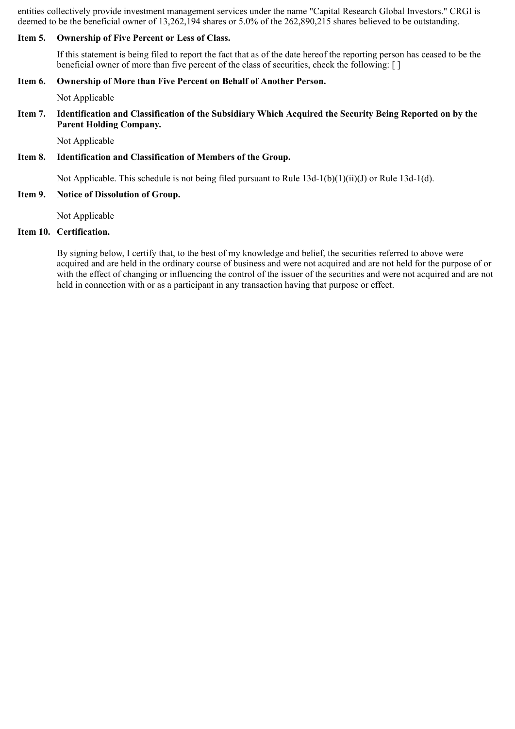entities collectively provide investment management services under the name "Capital Research Global Investors." CRGI is deemed to be the beneficial owner of 13,262,194 shares or 5.0% of the 262,890,215 shares believed to be outstanding.

#### **Item 5. Ownership of Five Percent or Less of Class.**

If this statement is being filed to report the fact that as of the date hereof the reporting person has ceased to be the beneficial owner of more than five percent of the class of securities, check the following: [ ]

#### **Item 6. Ownership of More than Five Percent on Behalf of Another Person.**

Not Applicable

#### **Item 7. Identification and Classification of the Subsidiary Which Acquired the Security Being Reported on by the Parent Holding Company.**

Not Applicable

#### **Item 8. Identification and Classification of Members of the Group.**

Not Applicable. This schedule is not being filed pursuant to Rule 13d-1(b)(1)(ii)(J) or Rule 13d-1(d).

#### **Item 9. Notice of Dissolution of Group.**

Not Applicable

# **Item 10. Certification.**

By signing below, I certify that, to the best of my knowledge and belief, the securities referred to above were acquired and are held in the ordinary course of business and were not acquired and are not held for the purpose of or with the effect of changing or influencing the control of the issuer of the securities and were not acquired and are not held in connection with or as a participant in any transaction having that purpose or effect.